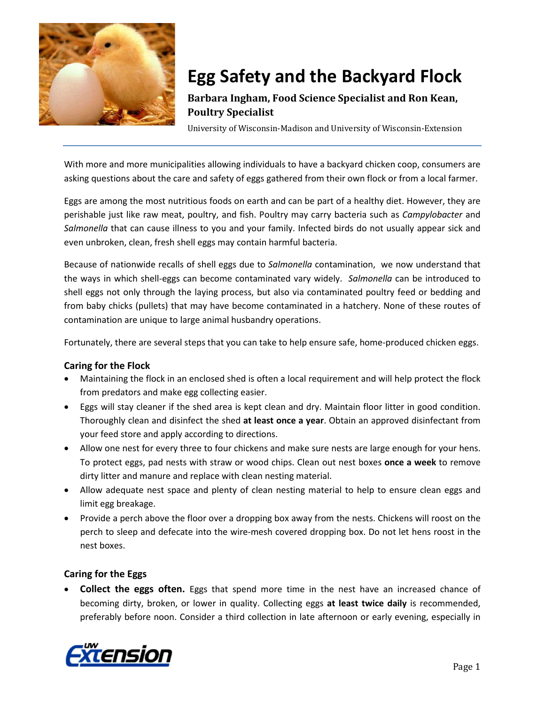

# **Egg Safety and the Backyard Flock**

## **Barbara Ingham, Food Science Specialist and Ron Kean, Poultry Specialist**

University of Wisconsin-Madison and University of Wisconsin-Extension

With more and more municipalities allowing individuals to have a backyard chicken coop, consumers are asking questions about the care and safety of eggs gathered from their own flock or from a local farmer.

Eggs are among the most nutritious foods on earth and can be part of a healthy diet. However, they are perishable just like raw meat, poultry, and fish. Poultry may carry bacteria such as *Campylobacter* and *Salmonella* that can cause illness to you and your family. Infected birds do not usually appear sick and even unbroken, clean, fresh shell eggs may contain harmful bacteria.

Because of nationwide recalls of shell eggs due to *Salmonella* contamination, we now understand that the ways in which shell-eggs can become contaminated vary widely. *Salmonella* can be introduced to shell eggs not only through the laying process, but also via contaminated poultry feed or bedding and from baby chicks (pullets) that may have become contaminated in a hatchery. None of these routes of contamination are unique to large animal husbandry operations.

Fortunately, there are several steps that you can take to help ensure safe, home-produced chicken eggs.

#### **Caring for the Flock**

- Maintaining the flock in an enclosed shed is often a local requirement and will help protect the flock from predators and make egg collecting easier.
- Eggs will stay cleaner if the shed area is kept clean and dry. Maintain floor litter in good condition. Thoroughly clean and disinfect the shed **at least once a year**. Obtain an approved disinfectant from your feed store and apply according to directions.
- Allow one nest for every three to four chickens and make sure nests are large enough for your hens. To protect eggs, pad nests with straw or wood chips. Clean out nest boxes **once a week** to remove dirty litter and manure and replace with clean nesting material.
- Allow adequate nest space and plenty of clean nesting material to help to ensure clean eggs and limit egg breakage.
- Provide a perch above the floor over a dropping box away from the nests. Chickens will roost on the perch to sleep and defecate into the wire-mesh covered dropping box. Do not let hens roost in the nest boxes.

#### **Caring for the Eggs**

• **Collect the eggs often.** Eggs that spend more time in the nest have an increased chance of becoming dirty, broken, or lower in quality. Collecting eggs **at least twice daily** is recommended, preferably before noon. Consider a third collection in late afternoon or early evening, especially in

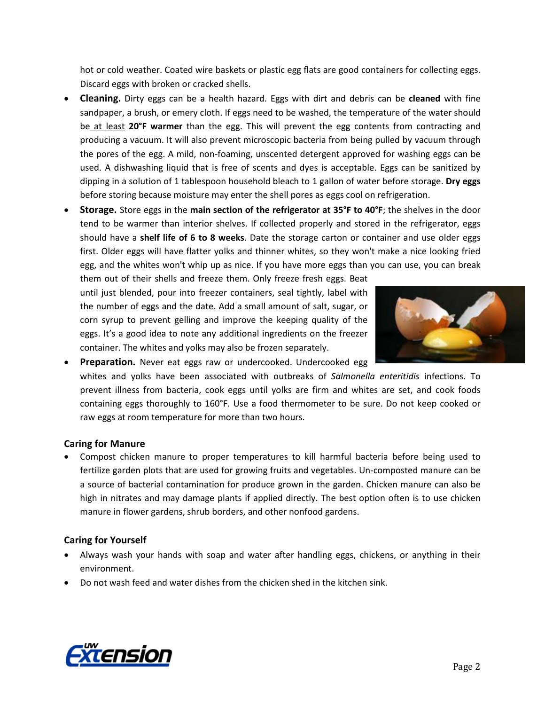hot or cold weather. Coated wire baskets or plastic egg flats are good containers for collecting eggs. Discard eggs with broken or cracked shells.

- **Cleaning.** Dirty eggs can be a health hazard. Eggs with dirt and debris can be **cleaned** with fine sandpaper, a brush, or emery cloth. If eggs need to be washed, the temperature of the water should be at least **20°F warmer** than the egg. This will prevent the egg contents from contracting and producing a vacuum. It will also prevent microscopic bacteria from being pulled by vacuum through the pores of the egg. A mild, non-foaming, unscented detergent approved for washing eggs can be used. A dishwashing liquid that is free of scents and dyes is acceptable. Eggs can be sanitized by dipping in a solution of 1 tablespoon household bleach to 1 gallon of water before storage. **Dry eggs** before storing because moisture may enter the shell pores as eggs cool on refrigeration.
- **Storage.** Store eggs in the **main section of the refrigerator at 35°F to 40°F**; the shelves in the door tend to be warmer than interior shelves. If collected properly and stored in the refrigerator, eggs should have a **shelf life of 6 to 8 weeks**. Date the storage carton or container and use older eggs first. Older eggs will have flatter yolks and thinner whites, so they won't make a nice looking fried egg, and the whites won't whip up as nice. If you have more eggs than you can use, you can break

them out of their shells and freeze them. Only freeze fresh eggs. Beat until just blended, pour into freezer containers, seal tightly, label with the number of eggs and the date. Add a small amount of salt, sugar, or corn syrup to prevent gelling and improve the keeping quality of the eggs. It's a good idea to note any additional ingredients on the freezer container. The whites and yolks may also be frozen separately.

raw eggs at room temperature for more than two hours.



• **Preparation.** Never eat eggs raw or undercooked. Undercooked egg whites and yolks have been associated with outbreaks of *Salmonella enteritidis* infections. To prevent illness from bacteria, cook eggs until yolks are firm and whites are set, and cook foods containing eggs thoroughly to 160°F. Use a food thermometer to be sure. Do not keep cooked or

#### **Caring for Manure**

• Compost chicken manure to proper temperatures to kill harmful bacteria before being used to fertilize garden plots that are used for growing fruits and vegetables. Un-composted manure can be a source of bacterial contamination for produce grown in the garden. Chicken manure can also be high in nitrates and may damage plants if applied directly. The best option often is to use chicken manure in flower gardens, shrub borders, and other nonfood gardens.

#### **Caring for Yourself**

- Always wash your hands with soap and water after handling eggs, chickens, or anything in their environment.
- Do not wash feed and water dishes from the chicken shed in the kitchen sink.